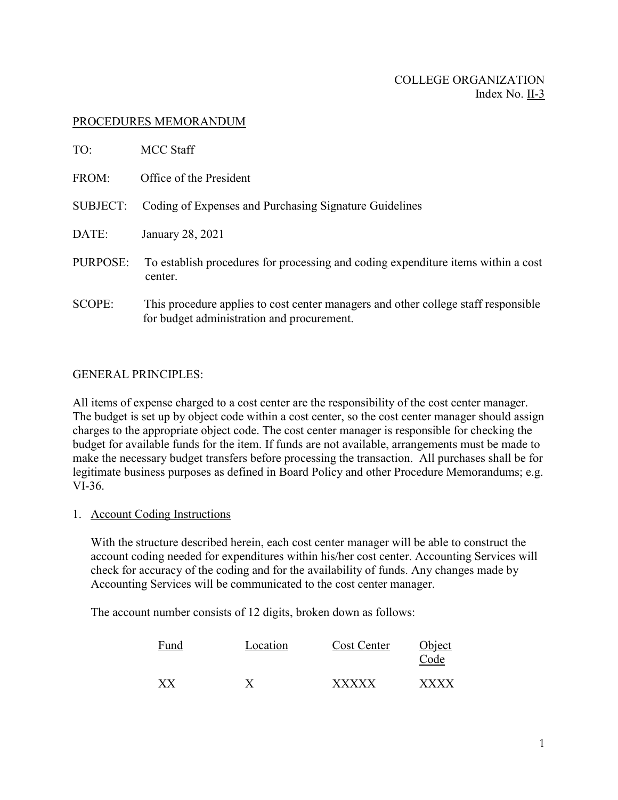## PROCEDURES MEMORANDUM

| TO:             | <b>MCC Staff</b>                                                                                                                 |
|-----------------|----------------------------------------------------------------------------------------------------------------------------------|
| FROM:           | Office of the President                                                                                                          |
| <b>SUBJECT:</b> | Coding of Expenses and Purchasing Signature Guidelines                                                                           |
| DATE:           | January 28, 2021                                                                                                                 |
| PURPOSE:        | To establish procedures for processing and coding expenditure items within a cost<br>center.                                     |
| SCOPE:          | This procedure applies to cost center managers and other college staff responsible<br>for budget administration and procurement. |

#### GENERAL PRINCIPLES:

All items of expense charged to a cost center are the responsibility of the cost center manager. The budget is set up by object code within a cost center, so the cost center manager should assign charges to the appropriate object code. The cost center manager is responsible for checking the budget for available funds for the item. If funds are not available, arrangements must be made to make the necessary budget transfers before processing the transaction. All purchases shall be for legitimate business purposes as defined in Board Policy and other Procedure Memorandums; e.g. VI-36.

1. Account Coding Instructions

With the structure described herein, each cost center manager will be able to construct the account coding needed for expenditures within his/her cost center. Accounting Services will check for accuracy of the coding and for the availability of funds. Any changes made by Accounting Services will be communicated to the cost center manager.

The account number consists of 12 digits, broken down as follows:

| Fund | Location | Cost Center  | Object<br>Code |
|------|----------|--------------|----------------|
| XX   |          | <b>XXXXX</b> | <b>XXXX</b>    |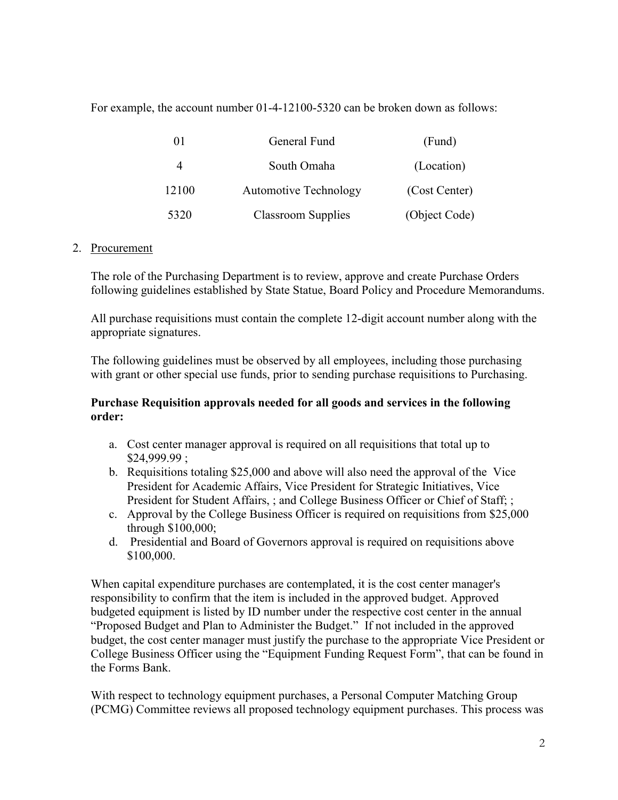For example, the account number 01-4-12100-5320 can be broken down as follows:

|       | General Fund                 | (Fund)        |  |
|-------|------------------------------|---------------|--|
|       | South Omaha                  | (Location)    |  |
| 12100 | <b>Automotive Technology</b> | (Cost Center) |  |
| 5320  | Classroom Supplies           | (Object Code) |  |

# 2. Procurement

The role of the Purchasing Department is to review, approve and create Purchase Orders following guidelines established by State Statue, Board Policy and Procedure Memorandums.

All purchase requisitions must contain the complete 12-digit account number along with the appropriate signatures.

The following guidelines must be observed by all employees, including those purchasing with grant or other special use funds, prior to sending purchase requisitions to Purchasing.

# **Purchase Requisition approvals needed for all goods and services in the following order:**

- a. Cost center manager approval is required on all requisitions that total up to \$24,999.99 ;
- b. Requisitions totaling \$25,000 and above will also need the approval of the Vice President for Academic Affairs, Vice President for Strategic Initiatives, Vice President for Student Affairs, ; and College Business Officer or Chief of Staff; ;
- c. Approval by the College Business Officer is required on requisitions from \$25,000 through \$100,000;
- d. Presidential and Board of Governors approval is required on requisitions above \$100,000.

When capital expenditure purchases are contemplated, it is the cost center manager's responsibility to confirm that the item is included in the approved budget. Approved budgeted equipment is listed by ID number under the respective cost center in the annual "Proposed Budget and Plan to Administer the Budget." If not included in the approved budget, the cost center manager must justify the purchase to the appropriate Vice President or College Business Officer using the "Equipment Funding Request Form", that can be found in the Forms Bank.

With respect to technology equipment purchases, a Personal Computer Matching Group (PCMG) Committee reviews all proposed technology equipment purchases. This process was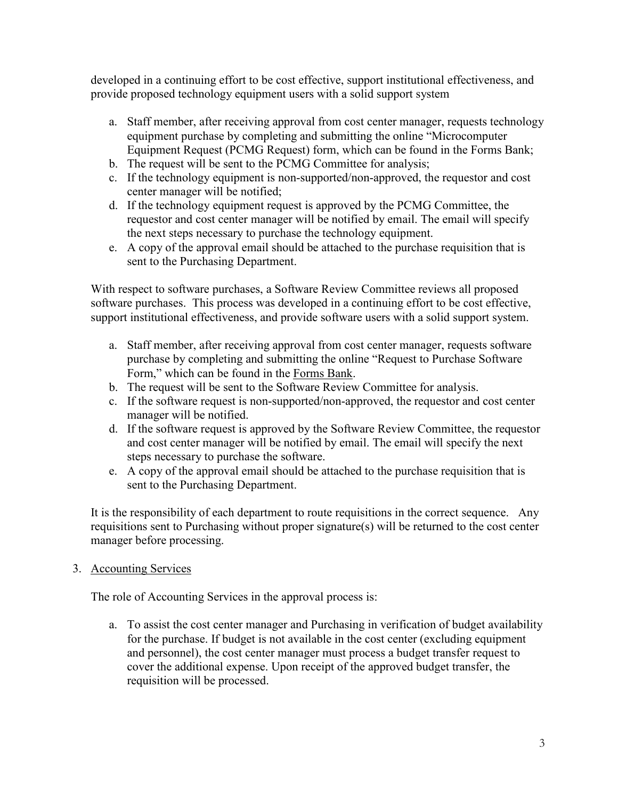developed in a continuing effort to be cost effective, support institutional effectiveness, and provide proposed technology equipment users with a solid support system

- a. Staff member, after receiving approval from cost center manager, requests technology equipment purchase by completing and submitting the online "Microcomputer Equipment Request (PCMG Request) form, which can be found in the Forms Bank;
- b. The request will be sent to the PCMG Committee for analysis;
- c. If the technology equipment is non-supported/non-approved, the requestor and cost center manager will be notified;
- d. If the technology equipment request is approved by the PCMG Committee, the requestor and cost center manager will be notified by email. The email will specify the next steps necessary to purchase the technology equipment.
- e. A copy of the approval email should be attached to the purchase requisition that is sent to the Purchasing Department.

With respect to software purchases, a Software Review Committee reviews all proposed software purchases. This process was developed in a continuing effort to be cost effective, support institutional effectiveness, and provide software users with a solid support system.

- a. Staff member, after receiving approval from cost center manager, requests software purchase by completing and submitting the online "Request to Purchase Software Form," which can be found in the Forms Bank.
- b. The request will be sent to the Software Review Committee for analysis.
- c. If the software request is non-supported/non-approved, the requestor and cost center manager will be notified.
- d. If the software request is approved by the Software Review Committee, the requestor and cost center manager will be notified by email. The email will specify the next steps necessary to purchase the software.
- e. A copy of the approval email should be attached to the purchase requisition that is sent to the Purchasing Department.

It is the responsibility of each department to route requisitions in the correct sequence. Any requisitions sent to Purchasing without proper signature(s) will be returned to the cost center manager before processing.

# 3. Accounting Services

The role of Accounting Services in the approval process is:

a. To assist the cost center manager and Purchasing in verification of budget availability for the purchase. If budget is not available in the cost center (excluding equipment and personnel), the cost center manager must process a budget transfer request to cover the additional expense. Upon receipt of the approved budget transfer, the requisition will be processed.